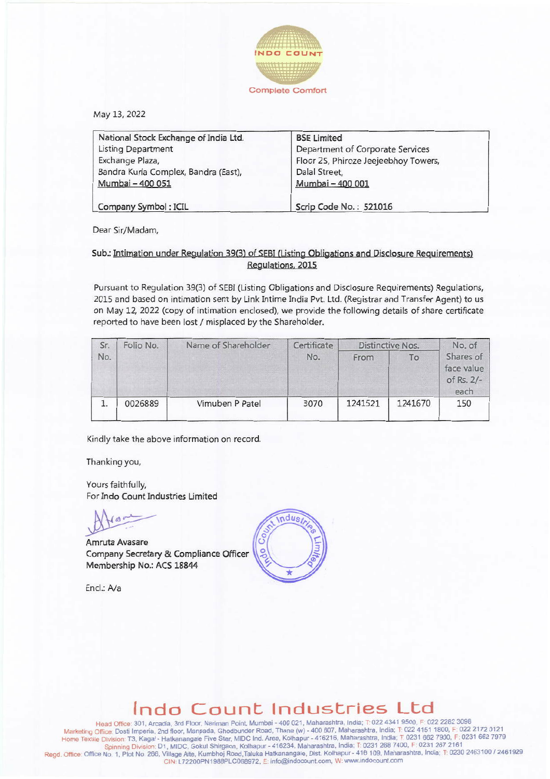

May 13,2022

| National Stock Exchange of India Ltd. | <b>BSE Limited</b>                   |  |  |
|---------------------------------------|--------------------------------------|--|--|
| <b>Listing Department</b>             | Department of Corporate Services     |  |  |
| Exchange Plaza,                       | Floor 25, Phiroze Jeejeebhoy Towers, |  |  |
| Bandra Kurla Complex, Bandra (East),  | Dalal Street,                        |  |  |
| Mumbai - 400 051                      | Mumbai - 400 001                     |  |  |
| Company Symbol: ICIL                  | Scrip Code No.: 521016               |  |  |

Dear Sir/Madam,

## Sub.: Intimation under Regulation 39(3) of SEBI (Listing Obligations and Disclosure Requirements) Regulations. 2015

Pursuant to Regulation 39(3) of SEBI (Listing Obligations and Disclosure Requirements) Regulations, 2015 and based on intimation sent by Link lntime India Pvt. Ltd. (Registrar and Transfer Agent) to us on May 12, 2022 (copy of intimation enclosed), we provide the following details of share certificate reported to have been lost / misplaced by the Shareholder.

| Sr.<br>No. | Folio No. | Name of Shareholder | Certificate | Distinctive Nos. |         | No. of                                        |
|------------|-----------|---------------------|-------------|------------------|---------|-----------------------------------------------|
|            |           |                     | No.         | From             | To      | Shares of<br>face value<br>of Rs. 2/-<br>each |
|            | 0026889   | Vimuben P Patel     | 3070        | 1241521          | 1241670 | 150                                           |

Kindly take the above information on record.

Thanking you,

Yours faithfully, For Indo Count Industries Umited

Amruta Avasare Company Secretary & Compliance Officer Membership No.: ACS 18844

Encl.:*Na*



## **Indo Count Industries Ltd**

lead Office: 301 Arcadia 3rd Floor. Nariman Point, Mumbai - 400 021. Maharashtra, India: T: 022 4341 9500, F: 022 2282 3098 Marketing Office: Dosti Imperia. 2nd floor. Manpada. Ghodbunder Road. Thane (w) - 400 607. Maharashtra. India; T. 022 4151 1800, F: 022 2172 0121 Homo TextoleD,vislon T3. Kagal- Hatkanangale FIVeStar. MIDC Ind. Area. KoIhapur - 416216. Maharashtra. India: T 0231 6627900. F 0231 6627979 Spinning Division: D1, MIDC, Gokul Shirgaon, Kolhapur - 416234, Maharashtra, India; T: 0231 268 7400, F: 0231 267 2161<br>Spinning Division: D1, MIDC, Gokul Shirgaon, Kolhapur - 416234, Maharashtra, India; T: 0231 267 2161<br>An CIN: L72200PN1988PLC068972, E: info@indocount.com, W: www.indocount.com